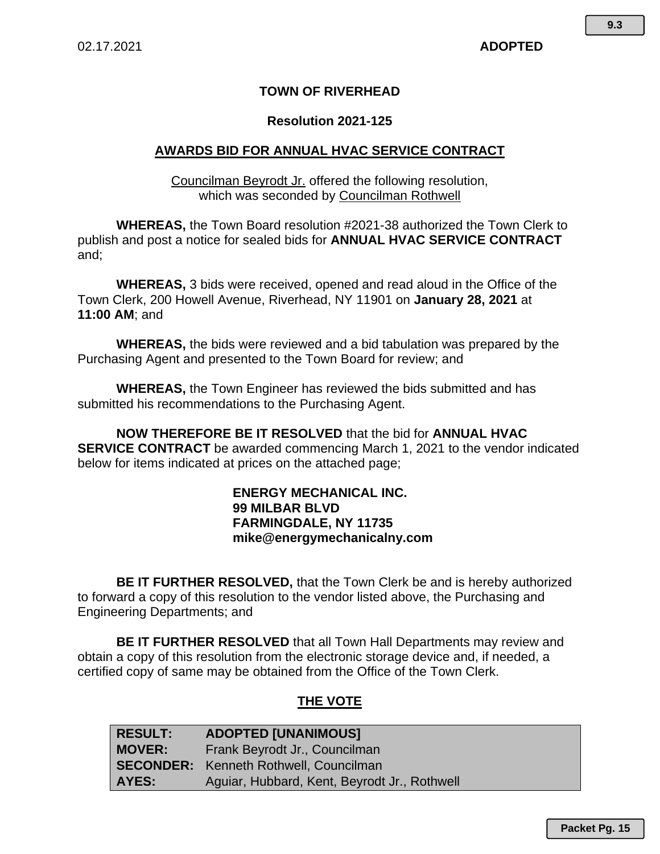# **TOWN OF RIVERHEAD**

## **Resolution 2021-125**

## **AWARDS BID FOR ANNUAL HVAC SERVICE CONTRACT**

Councilman Beyrodt Jr. offered the following resolution, which was seconded by Councilman Rothwell

**WHEREAS,** the Town Board resolution #2021-38 authorized the Town Clerk to publish and post a notice for sealed bids for **ANNUAL HVAC SERVICE CONTRACT**  and;

**WHEREAS,** 3 bids were received, opened and read aloud in the Office of the Town Clerk, 200 Howell Avenue, Riverhead, NY 11901 on **January 28, 2021** at **11:00 AM**; and

**WHEREAS,** the bids were reviewed and a bid tabulation was prepared by the Purchasing Agent and presented to the Town Board for review; and

**WHEREAS,** the Town Engineer has reviewed the bids submitted and has submitted his recommendations to the Purchasing Agent.

**NOW THEREFORE BE IT RESOLVED** that the bid for **ANNUAL HVAC SERVICE CONTRACT** be awarded commencing March 1, 2021 to the vendor indicated below for items indicated at prices on the attached page;

### **ENERGY MECHANICAL INC. 99 MILBAR BLVD FARMINGDALE, NY 11735 mike@energymechanicalny.com**

**BE IT FURTHER RESOLVED,** that the Town Clerk be and is hereby authorized to forward a copy of this resolution to the vendor listed above, the Purchasing and Engineering Departments; and

**BE IT FURTHER RESOLVED** that all Town Hall Departments may review and obtain a copy of this resolution from the electronic storage device and, if needed, a certified copy of same may be obtained from the Office of the Town Clerk.

## **THE VOTE**

| <b>RESULT:</b> | <b>ADOPTED [UNANIMOUS]</b>                    |  |  |
|----------------|-----------------------------------------------|--|--|
| MOVER:         | Frank Beyrodt Jr., Councilman                 |  |  |
|                | <b>SECONDER:</b> Kenneth Rothwell, Councilman |  |  |
| AYES:          | Aguiar, Hubbard, Kent, Beyrodt Jr., Rothwell  |  |  |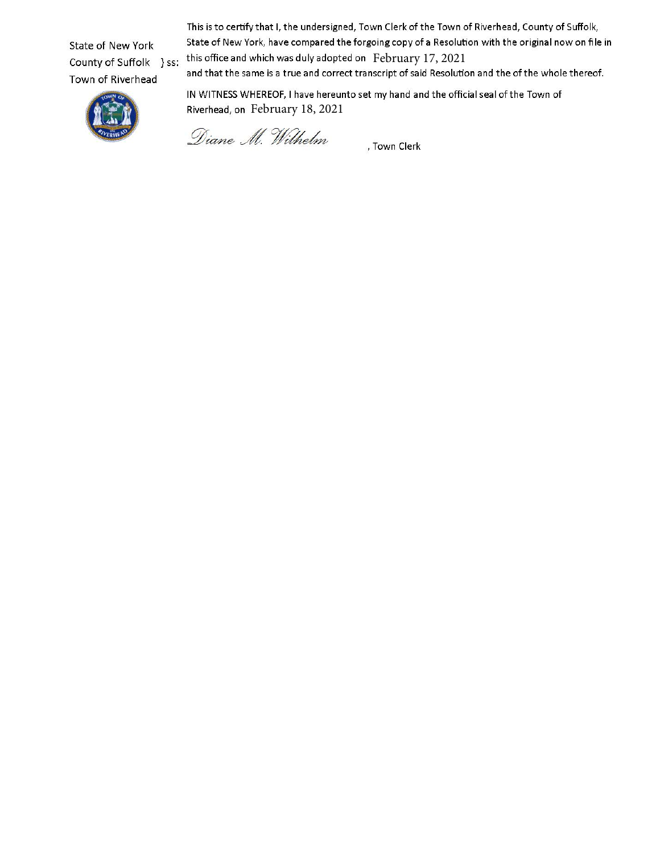State of New York County of Suffolk } ss: Town of Riverhead

This is to certify that I, the undersigned, Town Clerk of the Town of Riverhead, County of Suffolk, State of New York, have compared the forgoing copy of a Resolution with the original now on file in this office and which was duly adopted on February 17, 2021

and that the same is a true and correct transcript of said Resolution and the of the whole thereof.



IN WITNESS WHEREOF, I have hereunto set my hand and the official seal of the Town of Riverhead, on February 18, 2021

Diane M. Wilhelm

, Town Clerk